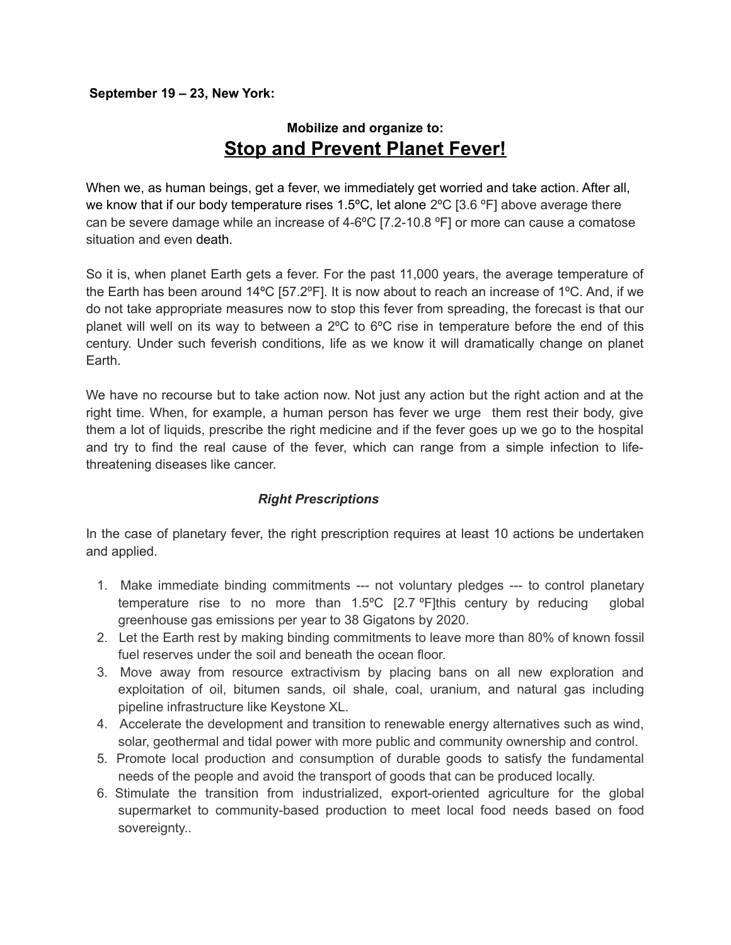#### **September 19 – 23, New York:**

# **Mobilize and organize to: Stop and Prevent Planet Fever!**

When we, as human beings, get a fever, we immediately get worried and take action. After all, we know that if our body temperature rises 1.5°C, let alone 2°C [3.6 °F] above average there can be severe damage while an increase of 4-6ºC [7.2-10.8 ºF] or more can cause a comatose situation and even death.

So it is, when planet Earth gets a fever. For the past 11,000 years, the average temperature of the Earth has been around 14ºC [57.2ºF]. It is now about to reach an increase of 1ºC. And, if we do not take appropriate measures now to stop this fever from spreading, the forecast is that our planet will well on its way to between a 2ºC to 6ºC rise in temperature before the end of this century. Under such feverish conditions, life as we know it will dramatically change on planet Earth.

We have no recourse but to take action now. Not just any action but the right action and at the right time. When, for example, a human person has fever we urge them rest their body, give them a lot of liquids, prescribe the right medicine and if the fever goes up we go to the hospital and try to find the real cause of the fever, which can range from a simple infection to lifethreatening diseases like cancer.

### *Right Prescriptions*

In the case of planetary fever, the right prescription requires at least 10 actions be undertaken and applied.

- 1. Make immediate binding commitments --- not voluntary pledges --- to control planetary temperature rise to no more than 1.5ºC [2.7 ºF]this century by reducing global greenhouse gas emissions per year to 38 Gigatons by 2020.
- 2. Let the Earth rest by making binding commitments to leave more than 80% of known fossil fuel reserves under the soil and beneath the ocean floor.
- 3. Move away from resource extractivism by placing bans on all new exploration and exploitation of oil, bitumen sands, oil shale, coal, uranium, and natural gas including pipeline infrastructure like Keystone XL.
- 4. Accelerate the development and transition to renewable energy alternatives such as wind, solar, geothermal and tidal power with more public and community ownership and control.
- 5. Promote local production and consumption of durable goods to satisfy the fundamental needs of the people and avoid the transport of goods that can be produced locally.
- 6. Stimulate the transition from industrialized, export-oriented agriculture for the global supermarket to community-based production to meet local food needs based on food sovereignty..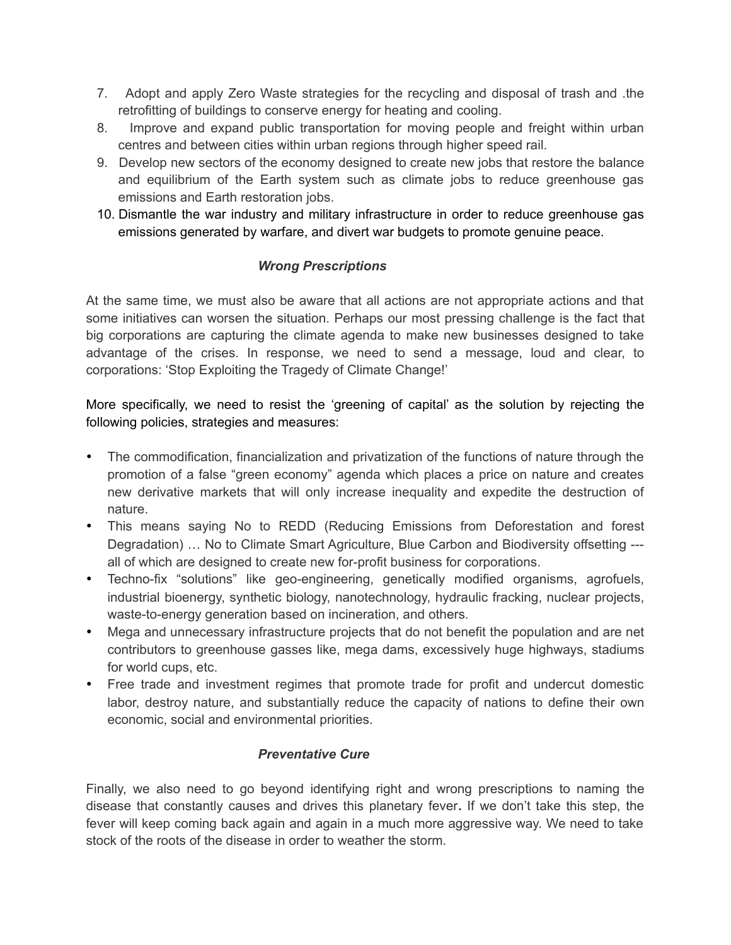- 7. Adopt and apply Zero Waste strategies for the recycling and disposal of trash and .the retrofitting of buildings to conserve energy for heating and cooling.
- 8. Improve and expand public transportation for moving people and freight within urban centres and between cities within urban regions through higher speed rail.
- 9. Develop new sectors of the economy designed to create new jobs that restore the balance and equilibrium of the Earth system such as climate jobs to reduce greenhouse gas emissions and Earth restoration jobs.
- 10. Dismantle the war industry and military infrastructure in order to reduce greenhouse gas emissions generated by warfare, and divert war budgets to promote genuine peace.

## *Wrong Prescriptions*

At the same time, we must also be aware that all actions are not appropriate actions and that some initiatives can worsen the situation. Perhaps our most pressing challenge is the fact that big corporations are capturing the climate agenda to make new businesses designed to take advantage of the crises. In response, we need to send a message, loud and clear, to corporations: 'Stop Exploiting the Tragedy of Climate Change!'

More specifically, we need to resist the 'greening of capital' as the solution by rejecting the following policies, strategies and measures:

- The commodification, financialization and privatization of the functions of nature through the promotion of a false "green economy" agenda which places a price on nature and creates new derivative markets that will only increase inequality and expedite the destruction of nature.
- This means saying No to REDD (Reducing Emissions from Deforestation and forest Degradation) … No to Climate Smart Agriculture, Blue Carbon and Biodiversity offsetting -- all of which are designed to create new for-profit business for corporations.
- Techno-fix "solutions" like geo-engineering, genetically modified organisms, agrofuels, industrial bioenergy, synthetic biology, nanotechnology, hydraulic fracking, nuclear projects, waste-to-energy generation based on incineration, and others.
- Mega and unnecessary infrastructure projects that do not benefit the population and are net contributors to greenhouse gasses like, mega dams, excessively huge highways, stadiums for world cups, etc.
- Free trade and investment regimes that promote trade for profit and undercut domestic labor, destroy nature, and substantially reduce the capacity of nations to define their own economic, social and environmental priorities.

### *Preventative Cure*

Finally, we also need to go beyond identifying right and wrong prescriptions to naming the disease that constantly causes and drives this planetary fever**.** If we don't take this step, the fever will keep coming back again and again in a much more aggressive way. We need to take stock of the roots of the disease in order to weather the storm.